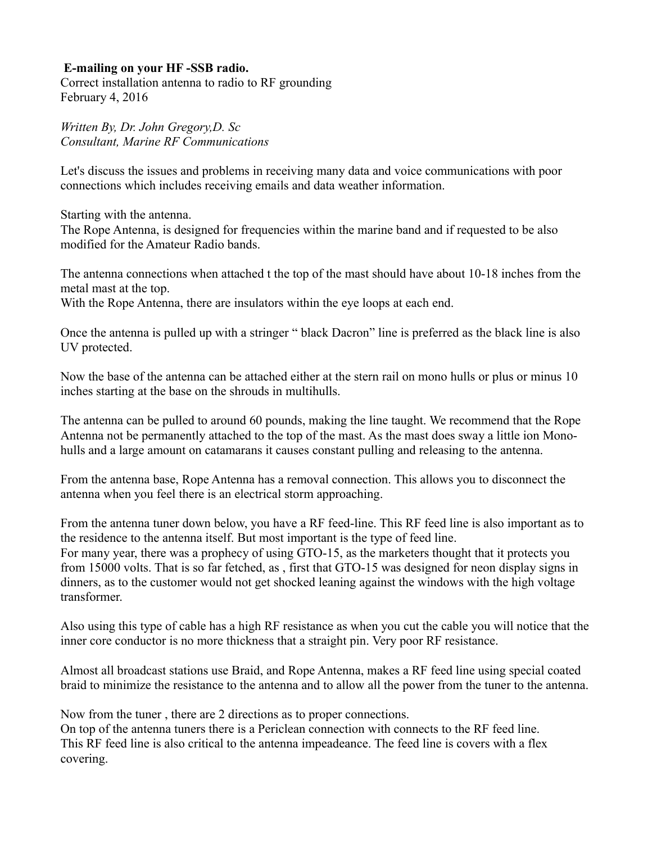## **E-mailing on your HF -SSB radio.**

Correct installation antenna to radio to RF grounding February 4, 2016

*Written By, Dr. John Gregory,D. Sc Consultant, Marine RF Communications*

Let's discuss the issues and problems in receiving many data and voice communications with poor connections which includes receiving emails and data weather information.

Starting with the antenna.

The Rope Antenna, is designed for frequencies within the marine band and if requested to be also modified for the Amateur Radio bands.

The antenna connections when attached t the top of the mast should have about 10-18 inches from the metal mast at the top.

With the Rope Antenna, there are insulators within the eye loops at each end.

Once the antenna is pulled up with a stringer " black Dacron" line is preferred as the black line is also UV protected.

Now the base of the antenna can be attached either at the stern rail on mono hulls or plus or minus 10 inches starting at the base on the shrouds in multihulls.

The antenna can be pulled to around 60 pounds, making the line taught. We recommend that the Rope Antenna not be permanently attached to the top of the mast. As the mast does sway a little ion Monohulls and a large amount on catamarans it causes constant pulling and releasing to the antenna.

From the antenna base, Rope Antenna has a removal connection. This allows you to disconnect the antenna when you feel there is an electrical storm approaching.

From the antenna tuner down below, you have a RF feed-line. This RF feed line is also important as to the residence to the antenna itself. But most important is the type of feed line. For many year, there was a prophecy of using GTO-15, as the marketers thought that it protects you from 15000 volts. That is so far fetched, as , first that GTO-15 was designed for neon display signs in dinners, as to the customer would not get shocked leaning against the windows with the high voltage transformer.

Also using this type of cable has a high RF resistance as when you cut the cable you will notice that the inner core conductor is no more thickness that a straight pin. Very poor RF resistance.

Almost all broadcast stations use Braid, and Rope Antenna, makes a RF feed line using special coated braid to minimize the resistance to the antenna and to allow all the power from the tuner to the antenna.

Now from the tuner , there are 2 directions as to proper connections.

On top of the antenna tuners there is a Periclean connection with connects to the RF feed line. This RF feed line is also critical to the antenna impeadeance. The feed line is covers with a flex covering.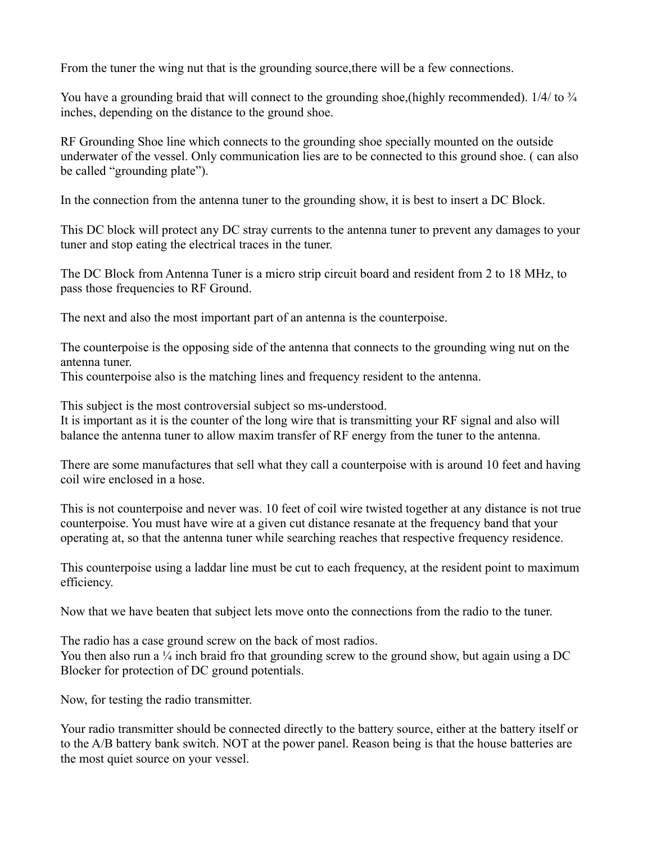From the tuner the wing nut that is the grounding source, there will be a few connections.

You have a grounding braid that will connect to the grounding shoe, (highly recommended).  $1/4/$  to  $\frac{3}{4}$ inches, depending on the distance to the ground shoe.

RF Grounding Shoe line which connects to the grounding shoe specially mounted on the outside underwater of the vessel. Only communication lies are to be connected to this ground shoe. ( can also be called "grounding plate").

In the connection from the antenna tuner to the grounding show, it is best to insert a DC Block.

This DC block will protect any DC stray currents to the antenna tuner to prevent any damages to your tuner and stop eating the electrical traces in the tuner.

The DC Block from Antenna Tuner is a micro strip circuit board and resident from 2 to 18 MHz, to pass those frequencies to RF Ground.

The next and also the most important part of an antenna is the counterpoise.

The counterpoise is the opposing side of the antenna that connects to the grounding wing nut on the antenna tuner.

This counterpoise also is the matching lines and frequency resident to the antenna.

This subject is the most controversial subject so ms-understood.

It is important as it is the counter of the long wire that is transmitting your RF signal and also will balance the antenna tuner to allow maxim transfer of RF energy from the tuner to the antenna.

There are some manufactures that sell what they call a counterpoise with is around 10 feet and having coil wire enclosed in a hose.

This is not counterpoise and never was. 10 feet of coil wire twisted together at any distance is not true counterpoise. You must have wire at a given cut distance resanate at the frequency band that your operating at, so that the antenna tuner while searching reaches that respective frequency residence.

This counterpoise using a laddar line must be cut to each frequency, at the resident point to maximum efficiency.

Now that we have beaten that subject lets move onto the connections from the radio to the tuner.

The radio has a case ground screw on the back of most radios.

You then also run a  $\frac{1}{4}$  inch braid fro that grounding screw to the ground show, but again using a DC Blocker for protection of DC ground potentials.

Now, for testing the radio transmitter.

Your radio transmitter should be connected directly to the battery source, either at the battery itself or to the A/B battery bank switch. NOT at the power panel. Reason being is that the house batteries are the most quiet source on your vessel.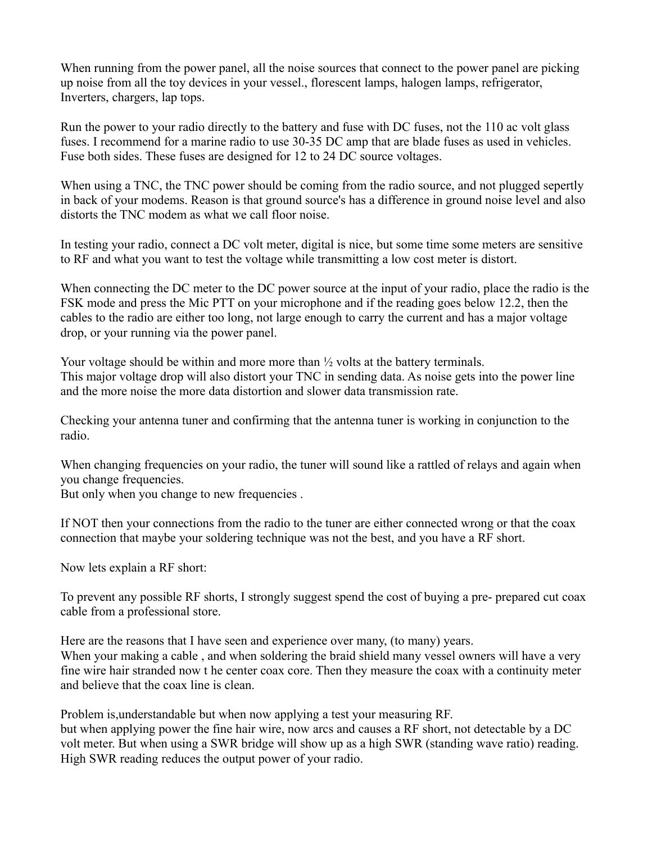When running from the power panel, all the noise sources that connect to the power panel are picking up noise from all the toy devices in your vessel., florescent lamps, halogen lamps, refrigerator, Inverters, chargers, lap tops.

Run the power to your radio directly to the battery and fuse with DC fuses, not the 110 ac volt glass fuses. I recommend for a marine radio to use 30-35 DC amp that are blade fuses as used in vehicles. Fuse both sides. These fuses are designed for 12 to 24 DC source voltages.

When using a TNC, the TNC power should be coming from the radio source, and not plugged sepertly in back of your modems. Reason is that ground source's has a difference in ground noise level and also distorts the TNC modem as what we call floor noise.

In testing your radio, connect a DC volt meter, digital is nice, but some time some meters are sensitive to RF and what you want to test the voltage while transmitting a low cost meter is distort.

When connecting the DC meter to the DC power source at the input of your radio, place the radio is the FSK mode and press the Mic PTT on your microphone and if the reading goes below 12.2, then the cables to the radio are either too long, not large enough to carry the current and has a major voltage drop, or your running via the power panel.

Your voltage should be within and more more than  $\frac{1}{2}$  volts at the battery terminals. This major voltage drop will also distort your TNC in sending data. As noise gets into the power line and the more noise the more data distortion and slower data transmission rate.

Checking your antenna tuner and confirming that the antenna tuner is working in conjunction to the radio.

When changing frequencies on your radio, the tuner will sound like a rattled of relays and again when you change frequencies.

But only when you change to new frequencies .

If NOT then your connections from the radio to the tuner are either connected wrong or that the coax connection that maybe your soldering technique was not the best, and you have a RF short.

Now lets explain a RF short:

To prevent any possible RF shorts, I strongly suggest spend the cost of buying a pre- prepared cut coax cable from a professional store.

Here are the reasons that I have seen and experience over many, (to many) years. When your making a cable , and when soldering the braid shield many vessel owners will have a very fine wire hair stranded now t he center coax core. Then they measure the coax with a continuity meter and believe that the coax line is clean.

Problem is,understandable but when now applying a test your measuring RF. but when applying power the fine hair wire, now arcs and causes a RF short, not detectable by a DC volt meter. But when using a SWR bridge will show up as a high SWR (standing wave ratio) reading. High SWR reading reduces the output power of your radio.